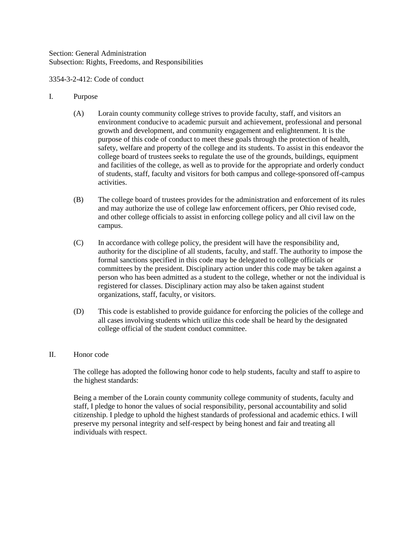Section: General Administration Subsection: Rights, Freedoms, and Responsibilities

3354-3-2-412: Code of conduct

# I. Purpose

- (A) Lorain county community college strives to provide faculty, staff, and visitors an environment conducive to academic pursuit and achievement, professional and personal growth and development, and community engagement and enlightenment. It is the purpose of this code of conduct to meet these goals through the protection of health, safety, welfare and property of the college and its students. To assist in this endeavor the college board of trustees seeks to regulate the use of the grounds, buildings, equipment and facilities of the college, as well as to provide for the appropriate and orderly conduct of students, staff, faculty and visitors for both campus and college-sponsored off-campus activities.
- (B) The college board of trustees provides for the administration and enforcement of its rules and may authorize the use of college law enforcement officers, per Ohio revised code, and other college officials to assist in enforcing college policy and all civil law on the campus.
- (C) In accordance with college policy, the president will have the responsibility and, authority for the discipline of all students, faculty, and staff. The authority to impose the formal sanctions specified in this code may be delegated to college officials or committees by the president. Disciplinary action under this code may be taken against a person who has been admitted as a student to the college, whether or not the individual is registered for classes. Disciplinary action may also be taken against student organizations, staff, faculty, or visitors.
- (D) This code is established to provide guidance for enforcing the policies of the college and all cases involving students which utilize this code shall be heard by the designated college official of the student conduct committee.

## II. Honor code

The college has adopted the following honor code to help students, faculty and staff to aspire to the highest standards:

Being a member of the Lorain county community college community of students, faculty and staff, I pledge to honor the values of social responsibility, personal accountability and solid citizenship. I pledge to uphold the highest standards of professional and academic ethics. I will preserve my personal integrity and self-respect by being honest and fair and treating all individuals with respect.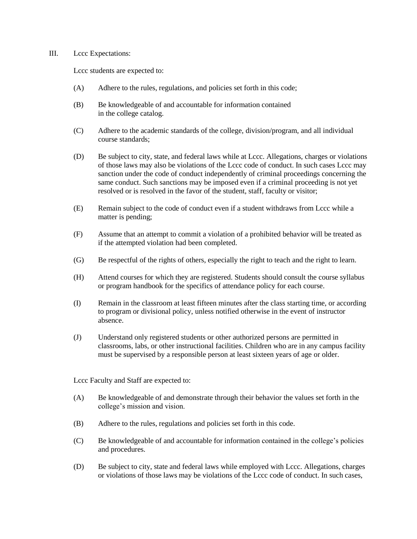### III. Lccc Expectations:

Lccc students are expected to:

- (A) Adhere to the rules, regulations, and policies set forth in this code;
- (B) Be knowledgeable of and accountable for information contained in the college catalog.
- (C) Adhere to the academic standards of the college, division/program, and all individual course standards;
- (D) Be subject to city, state, and federal laws while at Lccc. Allegations, charges or violations of those laws may also be violations of the Lccc code of conduct. In such cases Lccc may sanction under the code of conduct independently of criminal proceedings concerning the same conduct. Such sanctions may be imposed even if a criminal proceeding is not yet resolved or is resolved in the favor of the student, staff, faculty or visitor;
- (E) Remain subject to the code of conduct even if a student withdraws from Lccc while a matter is pending;
- (F) Assume that an attempt to commit a violation of a prohibited behavior will be treated as if the attempted violation had been completed.
- (G) Be respectful of the rights of others, especially the right to teach and the right to learn.
- (H) Attend courses for which they are registered. Students should consult the course syllabus or program handbook for the specifics of attendance policy for each course.
- (I) Remain in the classroom at least fifteen minutes after the class starting time, or according to program or divisional policy, unless notified otherwise in the event of instructor absence.
- (J) Understand only registered students or other authorized persons are permitted in classrooms, labs, or other instructional facilities. Children who are in any campus facility must be supervised by a responsible person at least sixteen years of age or older.

Lccc Faculty and Staff are expected to:

- (A) Be knowledgeable of and demonstrate through their behavior the values set forth in the college's mission and vision.
- (B) Adhere to the rules, regulations and policies set forth in this code.
- (C) Be knowledgeable of and accountable for information contained in the college's policies and procedures.
- (D) Be subject to city, state and federal laws while employed with Lccc. Allegations, charges or violations of those laws may be violations of the Lccc code of conduct. In such cases,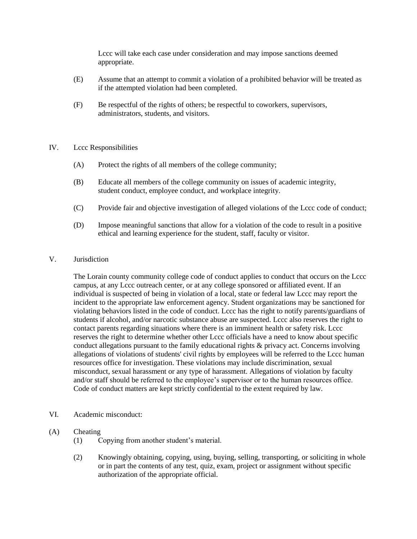Lccc will take each case under consideration and may impose sanctions deemed appropriate.

- (E) Assume that an attempt to commit a violation of a prohibited behavior will be treated as if the attempted violation had been completed.
- (F) Be respectful of the rights of others; be respectful to coworkers, supervisors, administrators, students, and visitors.

### IV. Lccc Responsibilities

- (A) Protect the rights of all members of the college community;
- (B) Educate all members of the college community on issues of academic integrity, student conduct, employee conduct, and workplace integrity.
- (C) Provide fair and objective investigation of alleged violations of the Lccc code of conduct;
- (D) Impose meaningful sanctions that allow for a violation of the code to result in a positive ethical and learning experience for the student, staff, faculty or visitor.

### V. Jurisdiction

The Lorain county community college code of conduct applies to conduct that occurs on the Lccc campus, at any Lccc outreach center, or at any college sponsored or affiliated event. If an individual is suspected of being in violation of a local, state or federal law Lccc may report the incident to the appropriate law enforcement agency. Student organizations may be sanctioned for violating behaviors listed in the code of conduct. Lccc has the right to notify parents/guardians of students if alcohol, and/or narcotic substance abuse are suspected. Lccc also reserves the right to contact parents regarding situations where there is an imminent health or safety risk. Lccc reserves the right to determine whether other Lccc officials have a need to know about specific conduct allegations pursuant to the family educational rights & privacy act. Concerns involving allegations of violations of students' civil rights by employees will be referred to the Lccc human resources office for investigation. These violations may include discrimination, sexual misconduct, sexual harassment or any type of harassment. Allegations of violation by faculty and/or staff should be referred to the employee's supervisor or to the human resources office. Code of conduct matters are kept strictly confidential to the extent required by law.

- VI. Academic misconduct:
- (A) Cheating
	- (1) Copying from another student's material.
	- (2) Knowingly obtaining, copying, using, buying, selling, transporting, or soliciting in whole or in part the contents of any test, quiz, exam, project or assignment without specific authorization of the appropriate official.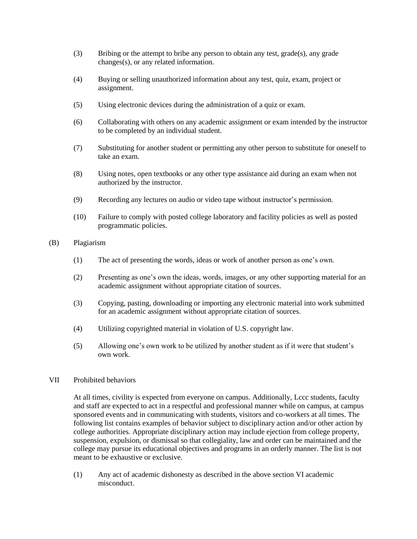- (3) Bribing or the attempt to bribe any person to obtain any test, grade(s), any grade changes(s), or any related information.
- (4) Buying or selling unauthorized information about any test, quiz, exam, project or assignment.
- (5) Using electronic devices during the administration of a quiz or exam.
- (6) Collaborating with others on any academic assignment or exam intended by the instructor to be completed by an individual student.
- (7) Substituting for another student or permitting any other person to substitute for oneself to take an exam.
- (8) Using notes, open textbooks or any other type assistance aid during an exam when not authorized by the instructor.
- (9) Recording any lectures on audio or video tape without instructor's permission.
- (10) Failure to comply with posted college laboratory and facility policies as well as posted programmatic policies.
- (B) Plagiarism
	- (1) The act of presenting the words, ideas or work of another person as one's own.
	- (2) Presenting as one's own the ideas, words, images, or any other supporting material for an academic assignment without appropriate citation of sources.
	- (3) Copying, pasting, downloading or importing any electronic material into work submitted for an academic assignment without appropriate citation of sources.
	- (4) Utilizing copyrighted material in violation of U.S. copyright law.
	- (5) Allowing one's own work to be utilized by another student as if it were that student's own work.

#### VII Prohibited behaviors

At all times, civility is expected from everyone on campus. Additionally, Lccc students, faculty and staff are expected to act in a respectful and professional manner while on campus, at campus sponsored events and in communicating with students, visitors and co-workers at all times. The following list contains examples of behavior subject to disciplinary action and/or other action by college authorities. Appropriate disciplinary action may include ejection from college property, suspension, expulsion, or dismissal so that collegiality, law and order can be maintained and the college may pursue its educational objectives and programs in an orderly manner. The list is not meant to be exhaustive or exclusive.

(1) Any act of academic dishonesty as described in the above section VI academic misconduct.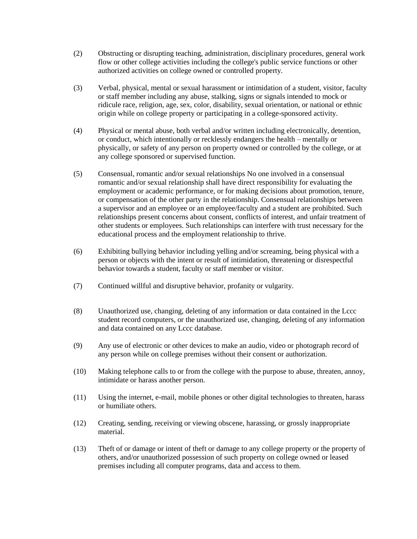- (2) Obstructing or disrupting teaching, administration, disciplinary procedures, general work flow or other college activities including the college's public service functions or other authorized activities on college owned or controlled property.
- (3) Verbal, physical, mental or sexual harassment or intimidation of a student, visitor, faculty or staff member including any abuse, stalking, signs or signals intended to mock or ridicule race, religion, age, sex, color, disability, sexual orientation, or national or ethnic origin while on college property or participating in a college-sponsored activity.
- (4) Physical or mental abuse, both verbal and/or written including electronically, detention, or conduct, which intentionally or recklessly endangers the health – mentally or physically, or safety of any person on property owned or controlled by the college, or at any college sponsored or supervised function.
- (5) Consensual, romantic and/or sexual relationships No one involved in a consensual romantic and/or sexual relationship shall have direct responsibility for evaluating the employment or academic performance, or for making decisions about promotion, tenure, or compensation of the other party in the relationship. Consensual relationships between a supervisor and an employee or an employee/faculty and a student are prohibited. Such relationships present concerns about consent, conflicts of interest, and unfair treatment of other students or employees. Such relationships can interfere with trust necessary for the educational process and the employment relationship to thrive.
- (6) Exhibiting bullying behavior including yelling and/or screaming, being physical with a person or objects with the intent or result of intimidation, threatening or disrespectful behavior towards a student, faculty or staff member or visitor.
- (7) Continued willful and disruptive behavior, profanity or vulgarity.
- (8) Unauthorized use, changing, deleting of any information or data contained in the Lccc student record computers, or the unauthorized use, changing, deleting of any information and data contained on any Lccc database.
- (9) Any use of electronic or other devices to make an audio, video or photograph record of any person while on college premises without their consent or authorization.
- (10) Making telephone calls to or from the college with the purpose to abuse, threaten, annoy, intimidate or harass another person.
- (11) Using the internet, e-mail, mobile phones or other digital technologies to threaten, harass or humiliate others.
- (12) Creating, sending, receiving or viewing obscene, harassing, or grossly inappropriate material.
- (13) Theft of or damage or intent of theft or damage to any college property or the property of others, and/or unauthorized possession of such property on college owned or leased premises including all computer programs, data and access to them.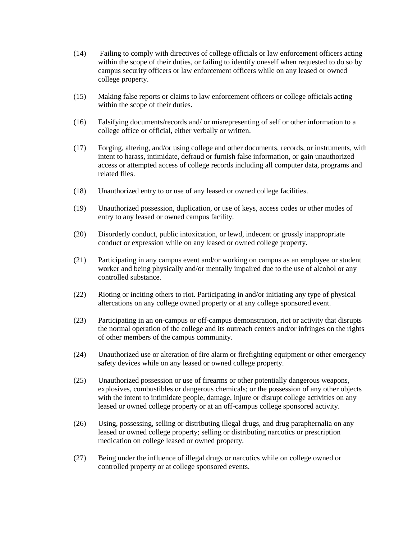- (14) Failing to comply with directives of college officials or law enforcement officers acting within the scope of their duties, or failing to identify oneself when requested to do so by campus security officers or law enforcement officers while on any leased or owned college property.
- (15) Making false reports or claims to law enforcement officers or college officials acting within the scope of their duties.
- (16) Falsifying documents/records and/ or misrepresenting of self or other information to a college office or official, either verbally or written.
- (17) Forging, altering, and/or using college and other documents, records, or instruments, with intent to harass, intimidate, defraud or furnish false information, or gain unauthorized access or attempted access of college records including all computer data, programs and related files.
- (18) Unauthorized entry to or use of any leased or owned college facilities.
- (19) Unauthorized possession, duplication, or use of keys, access codes or other modes of entry to any leased or owned campus facility.
- (20) Disorderly conduct, public intoxication, or lewd, indecent or grossly inappropriate conduct or expression while on any leased or owned college property.
- (21) Participating in any campus event and/or working on campus as an employee or student worker and being physically and/or mentally impaired due to the use of alcohol or any controlled substance.
- (22) Rioting or inciting others to riot. Participating in and/or initiating any type of physical altercations on any college owned property or at any college sponsored event.
- (23) Participating in an on-campus or off-campus demonstration, riot or activity that disrupts the normal operation of the college and its outreach centers and/or infringes on the rights of other members of the campus community.
- (24) Unauthorized use or alteration of fire alarm or firefighting equipment or other emergency safety devices while on any leased or owned college property.
- (25) Unauthorized possession or use of firearms or other potentially dangerous weapons, explosives, combustibles or dangerous chemicals; or the possession of any other objects with the intent to intimidate people, damage, injure or disrupt college activities on any leased or owned college property or at an off-campus college sponsored activity.
- (26) Using, possessing, selling or distributing illegal drugs, and drug paraphernalia on any leased or owned college property; selling or distributing narcotics or prescription medication on college leased or owned property.
- (27) Being under the influence of illegal drugs or narcotics while on college owned or controlled property or at college sponsored events.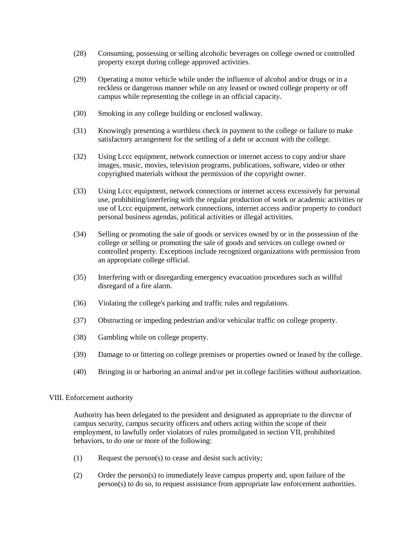- (28) Consuming, possessing or selling alcoholic beverages on college owned or controlled property except during college approved activities.
- (29) Operating a motor vehicle while under the influence of alcohol and/or drugs or in a reckless or dangerous manner while on any leased or owned college property or off campus while representing the college in an official capacity.
- (30) Smoking in any college building or enclosed walkway.
- (31) Knowingly presenting a worthless check in payment to the college or failure to make satisfactory arrangement for the settling of a debt or account with the college.
- (32) Using Lccc equipment, network connection or internet access to copy and/or share images, music, movies, television programs, publications, software, video or other copyrighted materials without the permission of the copyright owner.
- (33) Using Lccc equipment, network connections or internet access excessively for personal use, prohibiting/interfering with the regular production of work or academic activities or use of Lccc equipment, network connections, internet access and/or property to conduct personal business agendas, political activities or illegal activities.
- (34) Selling or promoting the sale of goods or services owned by or in the possession of the college or selling or promoting the sale of goods and services on college owned or controlled property. Exceptions include recognized organizations with permission from an appropriate college official.
- (35) Interfering with or disregarding emergency evacuation procedures such as willful disregard of a fire alarm.
- (36) Violating the college's parking and traffic rules and regulations.
- (37) Obstructing or impeding pedestrian and/or vehicular traffic on college property.
- (38) Gambling while on college property.
- (39) Damage to or littering on college premises or properties owned or leased by the college.
- (40) Bringing in or harboring an animal and/or pet in college facilities without authorization.

#### VIII. Enforcement authority

Authority has been delegated to the president and designated as appropriate to the director of campus security, campus security officers and others acting within the scope of their employment, to lawfully order violators of rules promulgated in section VII, prohibited behaviors, to do one or more of the following:

- $(1)$  Request the person(s) to cease and desist such activity;
- (2) Order the person(s) to immediately leave campus property and, upon failure of the person(s) to do so, to request assistance from appropriate law enforcement authorities.